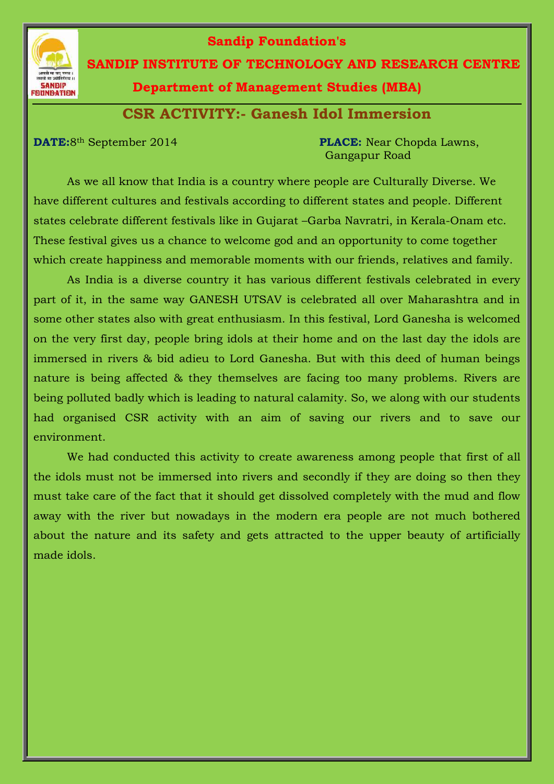

## **Sandip Foundation's**

 **SANDIP INSTITUTE OF TECHNOLOGY AND RESEARCH CENTRE**

**Department of Management Studies (MBA)**

**CSR ACTIVITY:- Ganesh Idol Immersion**

**DATE:**8th September 2014 **PLACE:** Near Chopda Lawns, Gangapur Road

As we all know that India is a country where people are Culturally Diverse. We have different cultures and festivals according to different states and people. Different states celebrate different festivals like in Gujarat –Garba Navratri, in Kerala-Onam etc. These festival gives us a chance to welcome god and an opportunity to come together which create happiness and memorable moments with our friends, relatives and family.

As India is a diverse country it has various different festivals celebrated in every part of it, in the same way GANESH UTSAV is celebrated all over Maharashtra and in some other states also with great enthusiasm. In this festival, Lord Ganesha is welcomed on the very first day, people bring idols at their home and on the last day the idols are immersed in rivers & bid adieu to Lord Ganesha. But with this deed of human beings nature is being affected & they themselves are facing too many problems. Rivers are being polluted badly which is leading to natural calamity. So, we along with our students had organised CSR activity with an aim of saving our rivers and to save our environment.

We had conducted this activity to create awareness among people that first of all the idols must not be immersed into rivers and secondly if they are doing so then they must take care of the fact that it should get dissolved completely with the mud and flow away with the river but nowadays in the modern era people are not much bothered about the nature and its safety and gets attracted to the upper beauty of artificially made idols.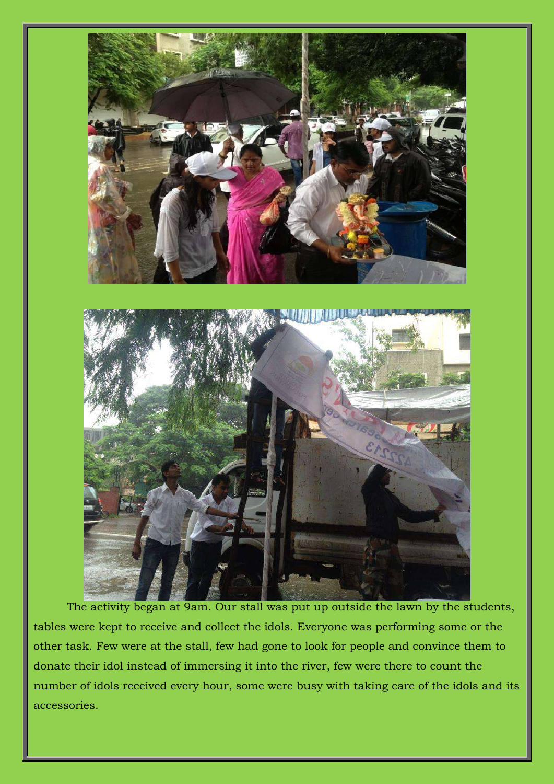

The activity began at 9am. Our stall was put up outside the lawn by the students, tables were kept to receive and collect the idols. Everyone was performing some or the other task. Few were at the stall, few had gone to look for people and convince them to donate their idol instead of immersing it into the river, few were there to count the number of idols received every hour, some were busy with taking care of the idols and its accessories.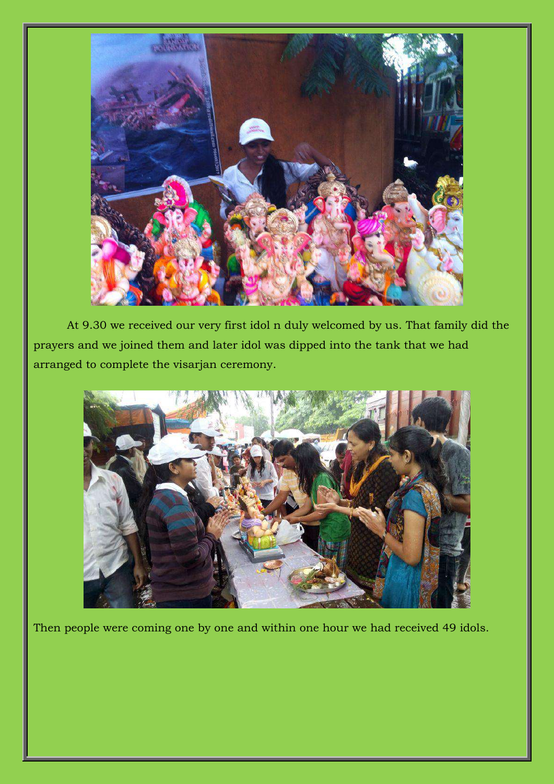

At 9.30 we received our very first idol n duly welcomed by us. That family did the prayers and we joined them and later idol was dipped into the tank that we had arranged to complete the visarjan ceremony.



Then people were coming one by one and within one hour we had received 49 idols.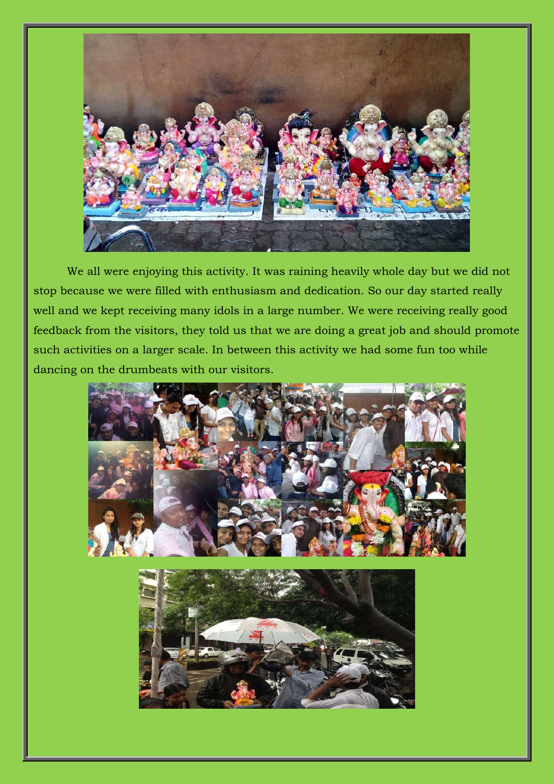

We all were enjoying this activity. It was raining heavily whole day but we did not stop because we were filled with enthusiasm and dedication. So our day started really well and we kept receiving many idols in a large number. We were receiving really good feedback from the visitors, they told us that we are doing a great job and should promote such activities on a larger scale. In between this activity we had some fun too while dancing on the drumbeats with our visitors.